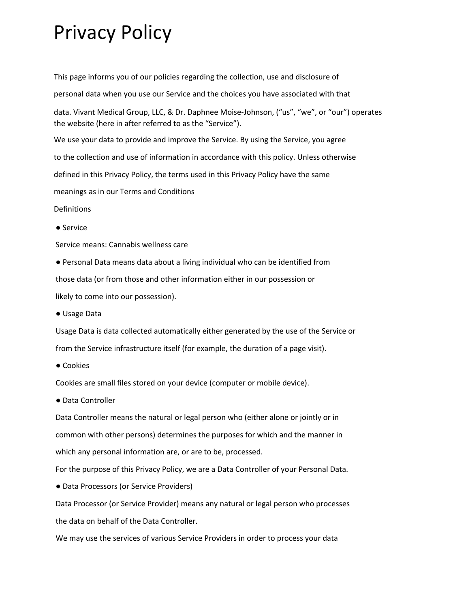# Privacy Policy

This page informs you of our policies regarding the collection, use and disclosure of

personal data when you use our Service and the choices you have associated with that

data. Vivant Medical Group, LLC, & Dr. Daphnee Moise-Johnson, ("us", "we", or "our") operates the website (here in after referred to as the "Service").

We use your data to provide and improve the Service. By using the Service, you agree

to the collection and use of information in accordance with this policy. Unless otherwise

defined in this Privacy Policy, the terms used in this Privacy Policy have the same

meanings as in our Terms and Conditions

**Definitions** 

● Service

Service means: Cannabis wellness care

● Personal Data means data about a living individual who can be identified from

those data (or from those and other information either in our possession or

likely to come into our possession).

● Usage Data

Usage Data is data collected automatically either generated by the use of the Service or from the Service infrastructure itself (for example, the duration of a page visit).

● Cookies

Cookies are small files stored on your device (computer or mobile device).

● Data Controller

Data Controller means the natural or legal person who (either alone or jointly or in common with other persons) determines the purposes for which and the manner in which any personal information are, or are to be, processed.

For the purpose of this Privacy Policy, we are a Data Controller of your Personal Data.

● Data Processors (or Service Providers)

Data Processor (or Service Provider) means any natural or legal person who processes the data on behalf of the Data Controller.

We may use the services of various Service Providers in order to process your data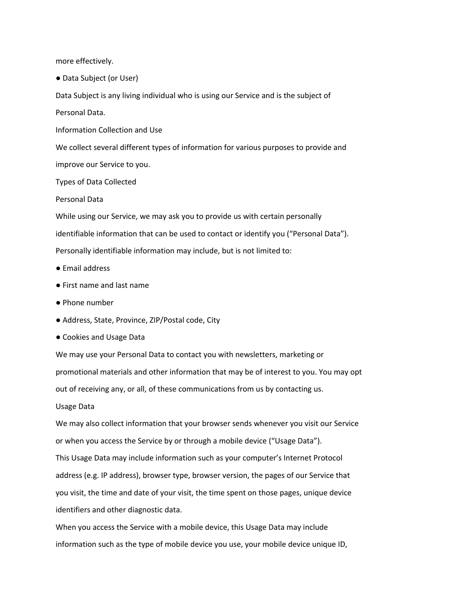more effectively.

● Data Subject (or User)

Data Subject is any living individual who is using our Service and is the subject of

Personal Data.

Information Collection and Use

We collect several different types of information for various purposes to provide and

improve our Service to you.

Types of Data Collected

Personal Data

While using our Service, we may ask you to provide us with certain personally identifiable information that can be used to contact or identify you ("Personal Data").

Personally identifiable information may include, but is not limited to:

- Email address
- First name and last name
- Phone number
- Address, State, Province, ZIP/Postal code, City
- Cookies and Usage Data

We may use your Personal Data to contact you with newsletters, marketing or promotional materials and other information that may be of interest to you. You may opt out of receiving any, or all, of these communications from us by contacting us.

Usage Data

We may also collect information that your browser sends whenever you visit our Service or when you access the Service by or through a mobile device ("Usage Data"). This Usage Data may include information such as your computer's Internet Protocol address (e.g. IP address), browser type, browser version, the pages of our Service that you visit, the time and date of your visit, the time spent on those pages, unique device identifiers and other diagnostic data.

When you access the Service with a mobile device, this Usage Data may include information such as the type of mobile device you use, your mobile device unique ID,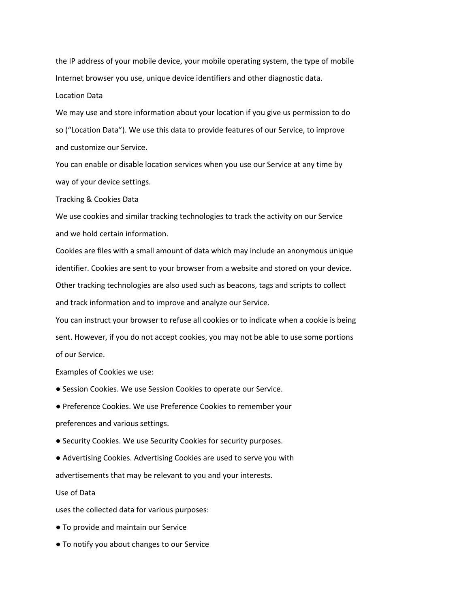the IP address of your mobile device, your mobile operating system, the type of mobile Internet browser you use, unique device identifiers and other diagnostic data.

## Location Data

We may use and store information about your location if you give us permission to do so ("Location Data"). We use this data to provide features of our Service, to improve and customize our Service.

You can enable or disable location services when you use our Service at any time by way of your device settings.

Tracking & Cookies Data

We use cookies and similar tracking technologies to track the activity on our Service and we hold certain information.

Cookies are files with a small amount of data which may include an anonymous unique identifier. Cookies are sent to your browser from a website and stored on your device. Other tracking technologies are also used such as beacons, tags and scripts to collect and track information and to improve and analyze our Service.

You can instruct your browser to refuse all cookies or to indicate when a cookie is being sent. However, if you do not accept cookies, you may not be able to use some portions of our Service.

Examples of Cookies we use:

● Session Cookies. We use Session Cookies to operate our Service.

● Preference Cookies. We use Preference Cookies to remember your preferences and various settings.

● Security Cookies. We use Security Cookies for security purposes.

● Advertising Cookies. Advertising Cookies are used to serve you with advertisements that may be relevant to you and your interests.

Use of Data

uses the collected data for various purposes:

- To provide and maintain our Service
- To notify you about changes to our Service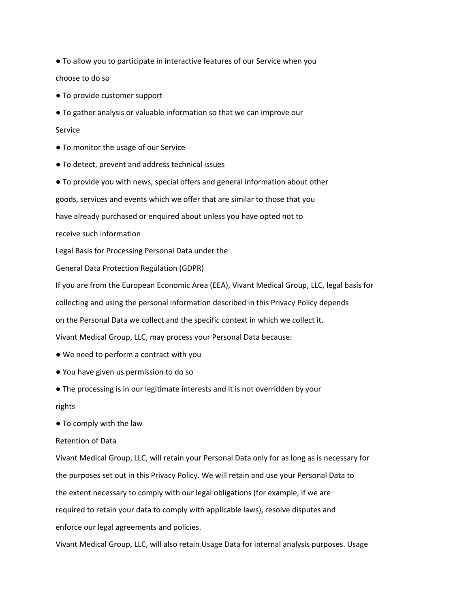● To allow you to participate in interactive features of our Service when you

choose to do so

● To provide customer support

● To gather analysis or valuable information so that we can improve our

## Service

● To monitor the usage of our Service

- To detect, prevent and address technical issues
- To provide you with news, special offers and general information about other

goods, services and events which we offer that are similar to those that you

have already purchased or enquired about unless you have opted not to

receive such information

Legal Basis for Processing Personal Data under the

General Data Protection Regulation (GDPR)

If you are from the European Economic Area (EEA), Vivant Medical Group, LLC, legal basis for

collecting and using the personal information described in this Privacy Policy depends

on the Personal Data we collect and the specific context in which we collect it.

Vivant Medical Group, LLC, may process your Personal Data because:

- We need to perform a contract with you
- You have given us permission to do so
- The processing is in our legitimate interests and it is not overridden by your

#### rights

● To comply with the law

## Retention of Data

Vivant Medical Group, LLC, will retain your Personal Data only for as long as is necessary for the purposes set out in this Privacy Policy. We will retain and use your Personal Data to the extent necessary to comply with our legal obligations (for example, if we are required to retain your data to comply with applicable laws), resolve disputes and enforce our legal agreements and policies.

Vivant Medical Group, LLC, will also retain Usage Data for internal analysis purposes. Usage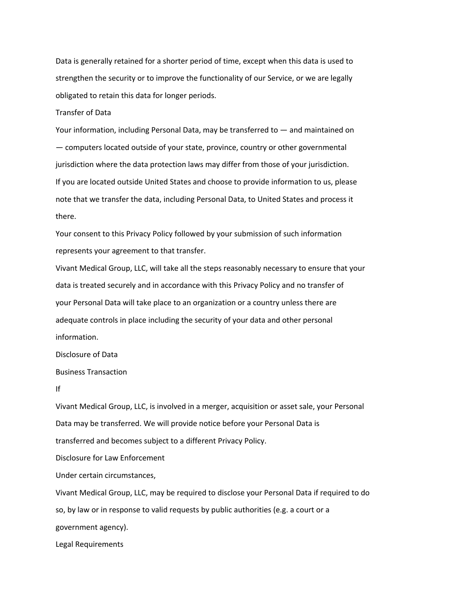Data is generally retained for a shorter period of time, except when this data is used to strengthen the security or to improve the functionality of our Service, or we are legally obligated to retain this data for longer periods.

## Transfer of Data

Your information, including Personal Data, may be transferred to — and maintained on — computers located outside of your state, province, country or other governmental jurisdiction where the data protection laws may differ from those of your jurisdiction. If you are located outside United States and choose to provide information to us, please note that we transfer the data, including Personal Data, to United States and process it there.

Your consent to this Privacy Policy followed by your submission of such information represents your agreement to that transfer.

Vivant Medical Group, LLC, will take all the steps reasonably necessary to ensure that your data is treated securely and in accordance with this Privacy Policy and no transfer of your Personal Data will take place to an organization or a country unless there are adequate controls in place including the security of your data and other personal information.

Disclosure of Data

Business Transaction

If

Vivant Medical Group, LLC, is involved in a merger, acquisition or asset sale, your Personal Data may be transferred. We will provide notice before your Personal Data is transferred and becomes subject to a different Privacy Policy. Disclosure for Law Enforcement Under certain circumstances,

Vivant Medical Group, LLC, may be required to disclose your Personal Data if required to do

so, by law or in response to valid requests by public authorities (e.g. a court or a

government agency).

Legal Requirements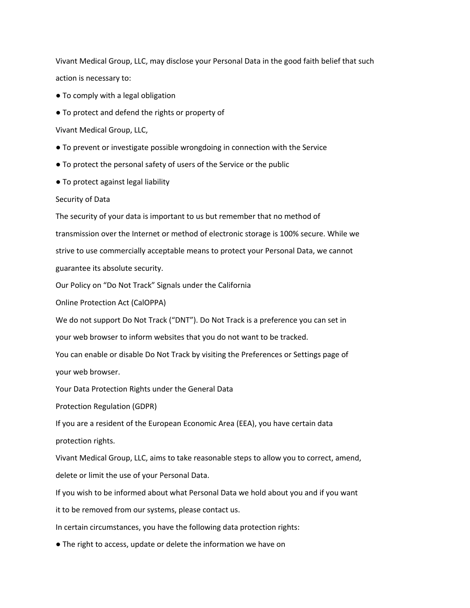Vivant Medical Group, LLC, may disclose your Personal Data in the good faith belief that such action is necessary to:

- To comply with a legal obligation
- To protect and defend the rights or property of

Vivant Medical Group, LLC,

- To prevent or investigate possible wrongdoing in connection with the Service
- To protect the personal safety of users of the Service or the public
- To protect against legal liability

Security of Data

The security of your data is important to us but remember that no method of

transmission over the Internet or method of electronic storage is 100% secure. While we

strive to use commercially acceptable means to protect your Personal Data, we cannot

guarantee its absolute security.

Our Policy on "Do Not Track" Signals under the California

Online Protection Act (CalOPPA)

We do not support Do Not Track ("DNT"). Do Not Track is a preference you can set in

your web browser to inform websites that you do not want to be tracked.

You can enable or disable Do Not Track by visiting the Preferences or Settings page of

your web browser.

Your Data Protection Rights under the General Data

Protection Regulation (GDPR)

If you are a resident of the European Economic Area (EEA), you have certain data protection rights.

Vivant Medical Group, LLC, aims to take reasonable steps to allow you to correct, amend, delete or limit the use of your Personal Data.

If you wish to be informed about what Personal Data we hold about you and if you want

it to be removed from our systems, please contact us.

In certain circumstances, you have the following data protection rights:

● The right to access, update or delete the information we have on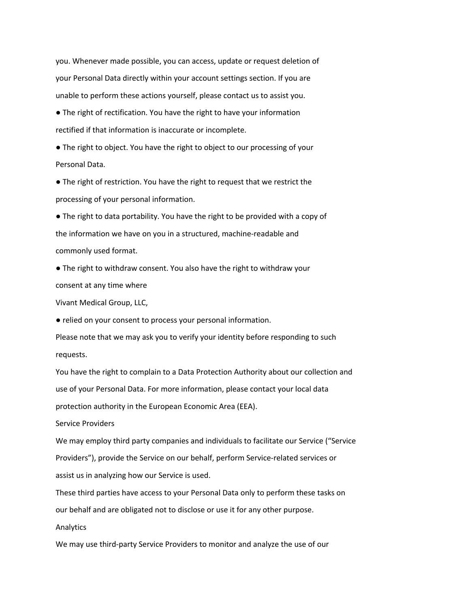you. Whenever made possible, you can access, update or request deletion of your Personal Data directly within your account settings section. If you are unable to perform these actions yourself, please contact us to assist you.

● The right of rectification. You have the right to have your information rectified if that information is inaccurate or incomplete.

● The right to object. You have the right to object to our processing of your Personal Data.

● The right of restriction. You have the right to request that we restrict the processing of your personal information.

● The right to data portability. You have the right to be provided with a copy of the information we have on you in a structured, machine-readable and commonly used format.

● The right to withdraw consent. You also have the right to withdraw your consent at any time where

Vivant Medical Group, LLC,

● relied on your consent to process your personal information.

Please note that we may ask you to verify your identity before responding to such requests.

You have the right to complain to a Data Protection Authority about our collection and use of your Personal Data. For more information, please contact your local data protection authority in the European Economic Area (EEA).

Service Providers

We may employ third party companies and individuals to facilitate our Service ("Service Providers"), provide the Service on our behalf, perform Service-related services or assist us in analyzing how our Service is used.

These third parties have access to your Personal Data only to perform these tasks on our behalf and are obligated not to disclose or use it for any other purpose.

Analytics

We may use third-party Service Providers to monitor and analyze the use of our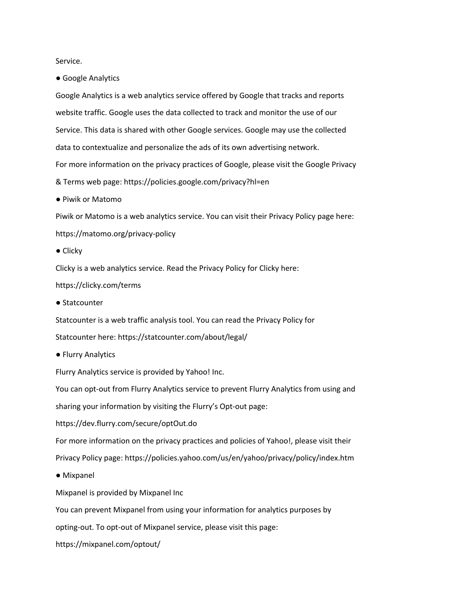Service.

● Google Analytics

Google Analytics is a web analytics service offered by Google that tracks and reports website traffic. Google uses the data collected to track and monitor the use of our Service. This data is shared with other Google services. Google may use the collected data to contextualize and personalize the ads of its own advertising network. For more information on the privacy practices of Google, please visit the Google Privacy & Terms web page: https://policies.google.com/privacy?hl=en

● Piwik or Matomo

Piwik or Matomo is a web analytics service. You can visit their Privacy Policy page here:

https://matomo.org/privacy-policy

● Clicky

Clicky is a web analytics service. Read the Privacy Policy for Clicky here:

https://clicky.com/terms

● Statcounter

Statcounter is a web traffic analysis tool. You can read the Privacy Policy for

Statcounter here: https://statcounter.com/about/legal/

● Flurry Analytics

Flurry Analytics service is provided by Yahoo! Inc.

You can opt-out from Flurry Analytics service to prevent Flurry Analytics from using and

sharing your information by visiting the Flurry's Opt-out page:

https://dev.flurry.com/secure/optOut.do

For more information on the privacy practices and policies of Yahoo!, please visit their Privacy Policy page: https://policies.yahoo.com/us/en/yahoo/privacy/policy/index.htm

● Mixpanel

Mixpanel is provided by Mixpanel Inc

You can prevent Mixpanel from using your information for analytics purposes by

opting-out. To opt-out of Mixpanel service, please visit this page:

https://mixpanel.com/optout/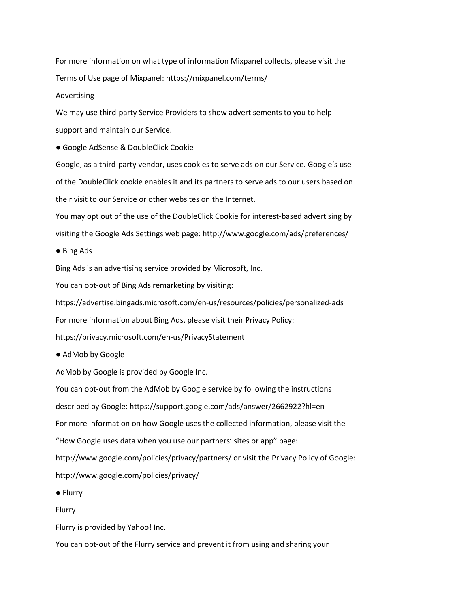For more information on what type of information Mixpanel collects, please visit the Terms of Use page of Mixpanel: https://mixpanel.com/terms/

## Advertising

We may use third-party Service Providers to show advertisements to you to help support and maintain our Service.

● Google AdSense & DoubleClick Cookie

Google, as a third-party vendor, uses cookies to serve ads on our Service. Google's use of the DoubleClick cookie enables it and its partners to serve ads to our users based on their visit to our Service or other websites on the Internet.

You may opt out of the use of the DoubleClick Cookie for interest-based advertising by visiting the Google Ads Settings web page: http://www.google.com/ads/preferences/

● Bing Ads

Bing Ads is an advertising service provided by Microsoft, Inc.

You can opt-out of Bing Ads remarketing by visiting:

https://advertise.bingads.microsoft.com/en-us/resources/policies/personalized-ads

For more information about Bing Ads, please visit their Privacy Policy:

https://privacy.microsoft.com/en-us/PrivacyStatement

● AdMob by Google

AdMob by Google is provided by Google Inc.

You can opt-out from the AdMob by Google service by following the instructions

described by Google: https://support.google.com/ads/answer/2662922?hl=en

For more information on how Google uses the collected information, please visit the

"How Google uses data when you use our partners' sites or app" page:

http://www.google.com/policies/privacy/partners/ or visit the Privacy Policy of Google:

http://www.google.com/policies/privacy/

● Flurry

Flurry

Flurry is provided by Yahoo! Inc.

You can opt-out of the Flurry service and prevent it from using and sharing your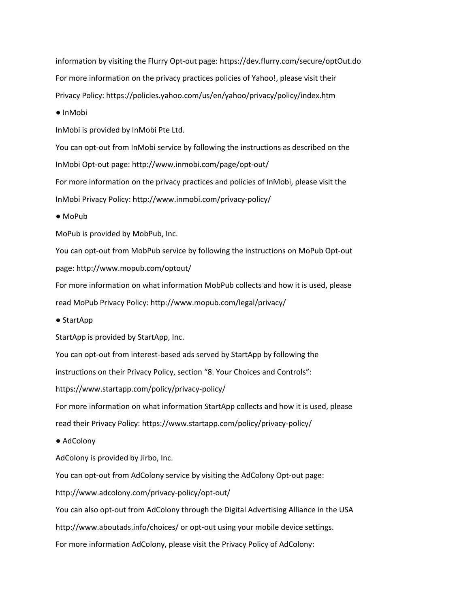information by visiting the Flurry Opt-out page: https://dev.flurry.com/secure/optOut.do For more information on the privacy practices policies of Yahoo!, please visit their Privacy Policy: https://policies.yahoo.com/us/en/yahoo/privacy/policy/index.htm

● InMobi

InMobi is provided by InMobi Pte Ltd.

You can opt-out from InMobi service by following the instructions as described on the InMobi Opt-out page: http://www.inmobi.com/page/opt-out/ For more information on the privacy practices and policies of InMobi, please visit the

InMobi Privacy Policy: http://www.inmobi.com/privacy-policy/

● MoPub

MoPub is provided by MobPub, Inc.

You can opt-out from MobPub service by following the instructions on MoPub Opt-out page: http://www.mopub.com/optout/

For more information on what information MobPub collects and how it is used, please

read MoPub Privacy Policy: http://www.mopub.com/legal/privacy/

● StartApp

StartApp is provided by StartApp, Inc.

You can opt-out from interest-based ads served by StartApp by following the

instructions on their Privacy Policy, section "8. Your Choices and Controls":

https://www.startapp.com/policy/privacy-policy/

For more information on what information StartApp collects and how it is used, please

read their Privacy Policy: https://www.startapp.com/policy/privacy-policy/

● AdColony

AdColony is provided by Jirbo, Inc.

You can opt-out from AdColony service by visiting the AdColony Opt-out page:

http://www.adcolony.com/privacy-policy/opt-out/

You can also opt-out from AdColony through the Digital Advertising Alliance in the USA

http://www.aboutads.info/choices/ or opt-out using your mobile device settings.

For more information AdColony, please visit the Privacy Policy of AdColony: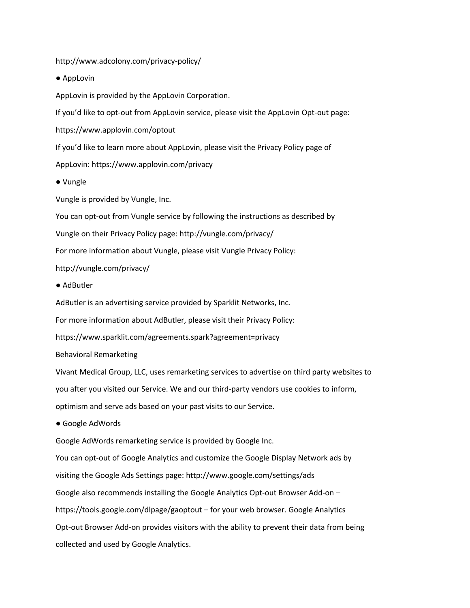http://www.adcolony.com/privacy-policy/

● AppLovin

AppLovin is provided by the AppLovin Corporation.

If you'd like to opt-out from AppLovin service, please visit the AppLovin Opt-out page:

https://www.applovin.com/optout

If you'd like to learn more about AppLovin, please visit the Privacy Policy page of

AppLovin: https://www.applovin.com/privacy

● Vungle

Vungle is provided by Vungle, Inc.

You can opt-out from Vungle service by following the instructions as described by

Vungle on their Privacy Policy page: http://vungle.com/privacy/

For more information about Vungle, please visit Vungle Privacy Policy:

http://vungle.com/privacy/

● AdButler

AdButler is an advertising service provided by Sparklit Networks, Inc.

For more information about AdButler, please visit their Privacy Policy:

https://www.sparklit.com/agreements.spark?agreement=privacy

Behavioral Remarketing

Vivant Medical Group, LLC, uses remarketing services to advertise on third party websites to you after you visited our Service. We and our third-party vendors use cookies to inform, optimism and serve ads based on your past visits to our Service.

● Google AdWords

Google AdWords remarketing service is provided by Google Inc.

You can opt-out of Google Analytics and customize the Google Display Network ads by visiting the Google Ads Settings page: http://www.google.com/settings/ads Google also recommends installing the Google Analytics Opt-out Browser Add-on – https://tools.google.com/dlpage/gaoptout – for your web browser. Google Analytics Opt-out Browser Add-on provides visitors with the ability to prevent their data from being collected and used by Google Analytics.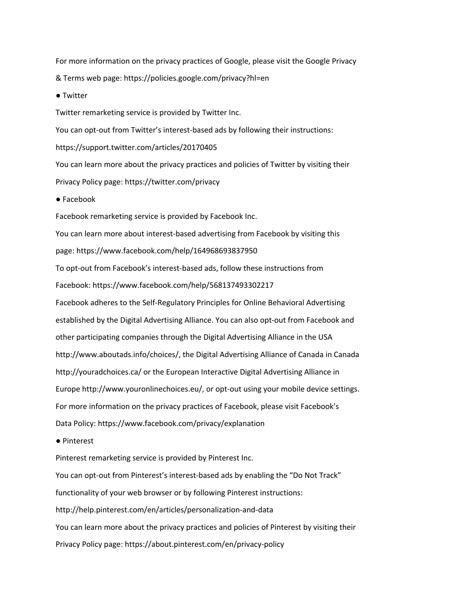For more information on the privacy practices of Google, please visit the Google Privacy

& Terms web page: https://policies.google.com/privacy?hl=en

● Twitter

Twitter remarketing service is provided by Twitter Inc.

You can opt-out from Twitter's interest-based ads by following their instructions:

https://support.twitter.com/articles/20170405

You can learn more about the privacy practices and policies of Twitter by visiting their Privacy Policy page: https://twitter.com/privacy

● Facebook

Facebook remarketing service is provided by Facebook Inc.

You can learn more about interest-based advertising from Facebook by visiting this page: https://www.facebook.com/help/164968693837950

To opt-out from Facebook's interest-based ads, follow these instructions from

Facebook: https://www.facebook.com/help/568137493302217

Facebook adheres to the Self-Regulatory Principles for Online Behavioral Advertising established by the Digital Advertising Alliance. You can also opt-out from Facebook and other participating companies through the Digital Advertising Alliance in the USA http://www.aboutads.info/choices/, the Digital Advertising Alliance of Canada in Canada http://youradchoices.ca/ or the European Interactive Digital Advertising Alliance in Europe http://www.youronlinechoices.eu/, or opt-out using your mobile device settings. For more information on the privacy practices of Facebook, please visit Facebook's Data Policy: https://www.facebook.com/privacy/explanation

● Pinterest

Pinterest remarketing service is provided by Pinterest Inc.

You can opt-out from Pinterest's interest-based ads by enabling the "Do Not Track"

functionality of your web browser or by following Pinterest instructions:

http://help.pinterest.com/en/articles/personalization-and-data

You can learn more about the privacy practices and policies of Pinterest by visiting their Privacy Policy page: https://about.pinterest.com/en/privacy-policy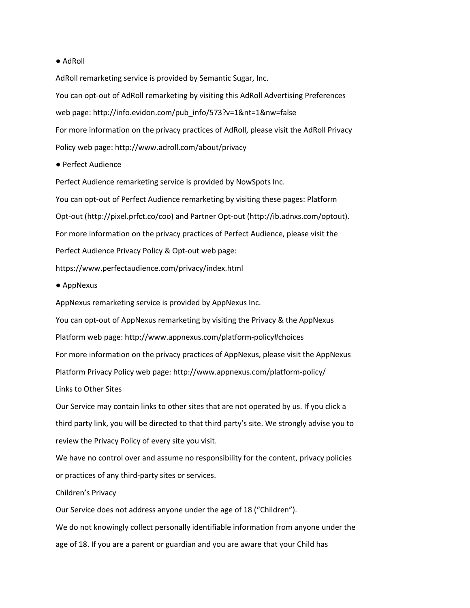### ● AdRoll

AdRoll remarketing service is provided by Semantic Sugar, Inc.

You can opt-out of AdRoll remarketing by visiting this AdRoll Advertising Preferences

web page: http://info.evidon.com/pub\_info/573?v=1&nt=1&nw=false

For more information on the privacy practices of AdRoll, please visit the AdRoll Privacy

Policy web page: http://www.adroll.com/about/privacy

● Perfect Audience

Perfect Audience remarketing service is provided by NowSpots Inc.

You can opt-out of Perfect Audience remarketing by visiting these pages: Platform Opt-out (http://pixel.prfct.co/coo) and Partner Opt-out (http://ib.adnxs.com/optout). For more information on the privacy practices of Perfect Audience, please visit the Perfect Audience Privacy Policy & Opt-out web page:

https://www.perfectaudience.com/privacy/index.html

● AppNexus

AppNexus remarketing service is provided by AppNexus Inc.

You can opt-out of AppNexus remarketing by visiting the Privacy & the AppNexus

Platform web page: http://www.appnexus.com/platform-policy#choices

For more information on the privacy practices of AppNexus, please visit the AppNexus

Platform Privacy Policy web page: http://www.appnexus.com/platform-policy/

Links to Other Sites

Our Service may contain links to other sites that are not operated by us. If you click a third party link, you will be directed to that third party's site. We strongly advise you to review the Privacy Policy of every site you visit.

We have no control over and assume no responsibility for the content, privacy policies or practices of any third-party sites or services.

Children's Privacy

Our Service does not address anyone under the age of 18 ("Children").

We do not knowingly collect personally identifiable information from anyone under the age of 18. If you are a parent or guardian and you are aware that your Child has